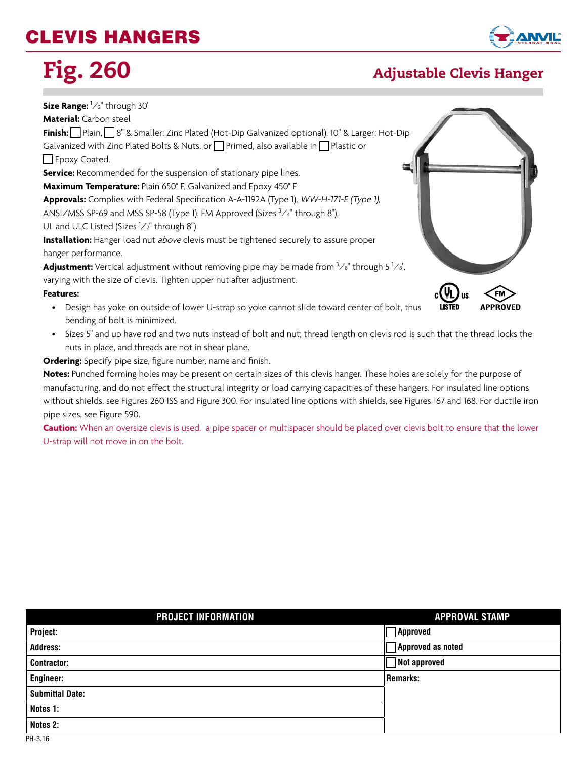## CLEVIS HANGERS



#### Fig. 260 Adjustable Clevis Hanger

#### **Size Range:** <sup>1</sup> ⁄2" through 30" **Material:** Carbon steel **Finish:** q Plain, q 8" & Smaller: Zinc Plated (Hot-Dip Galvanized optional), 10" & Larger: Hot-Dip Galvanized with Zinc Plated Bolts & Nuts, or  $\Box$  Primed, also available in  $\Box$  Plastic or  $\Box$  Epoxy Coated. **Service:** Recommended for the suspension of stationary pipe lines. **Maximum Temperature:** Plain 650° F, Galvanized and Epoxy 450° F **Approvals:** Complies with Federal Specification A-A-1192A (Type 1), WW-H-171-E (Type 1), ANSI/MSS SP-69 and MSS SP-58 (Type 1). FM Approved (Sizes  $3/4$ " through 8"), UL and ULC Listed (Sizes <sup>1</sup>/2" through 8") **Installation:** Hanger load nut *above* clevis must be tightened securely to assure proper hanger performance. **Adjustment:** Vertical adjustment without removing pipe may be made from <sup>3</sup>/<sub>8</sub>" through 5 <sup>1</sup>/<sub>8</sub>", varying with the size of clevis. Tighten upper nut after adjustment.  $_{\rm c}$ (h **Features:** • Design has yoke on outside of lower U-strap so yoke cannot slide toward center of bolt, thus bending of bolt is minimized.

• Sizes 5" and up have rod and two nuts instead of bolt and nut; thread length on clevis rod is such that the thread locks the nuts in place, and threads are not in shear plane.

**Ordering:** Specify pipe size, figure number, name and finish.

**Notes:** Punched forming holes may be present on certain sizes of this clevis hanger. These holes are solely for the purpose of manufacturing, and do not effect the structural integrity or load carrying capacities of these hangers. For insulated line options without shields, see Figures 260 ISS and Figure 300. For insulated line options with shields, see Figures 167 and 168. For ductile iron pipe sizes, see Figure 590.

**Caution:** When an oversize clevis is used, a pipe spacer or multispacer should be placed over clevis bolt to ensure that the lower U-strap will not move in on the bolt.

| PROJECT INFORMATION    | <b>APPROVAL STAMP</b> |
|------------------------|-----------------------|
| Project:               | $\neg$ Approved       |
| <b>Address:</b>        | Approved as noted     |
| <b>Contractor:</b>     | $\Box$ Not approved   |
| <b>Engineer:</b>       | <b>Remarks:</b>       |
| <b>Submittal Date:</b> |                       |
| Notes 1:               |                       |
| Notes 2:               |                       |
| PH-3.16                |                       |